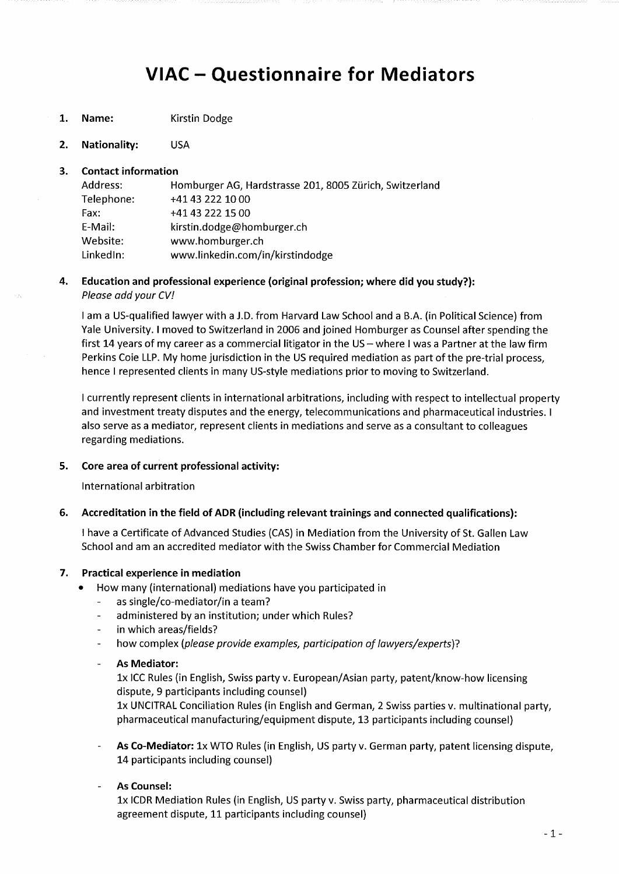# **VIAC - Questionnaire for Mediators**

- **1. Name:** Kirstin Dodge
- **2. Nationality:** USA

#### **3. Contact Information**

| Address:   | Homburger AG, Hardstrasse 201, 8005 Zürich, Switzerland |
|------------|---------------------------------------------------------|
| Telephone: | +41 43 222 10 00                                        |
| Fax:       | +41 43 222 15 00                                        |
| E-Mail:    | kirstin.dodge@homburger.ch                              |
| Website:   | www.homburger.ch                                        |
| LinkedIn:  | www.linkedin.com/in/kirstindodge                        |

#### 4. **Educatlon and professional experience (original profession; where did you study?):**  *Pleose add your CV!*

I am a US-qualified lawyer with a **J**.D. from Harvard Law School and a B.A. (in Political Science) from Yale University. **I** moved to Switzerland in 2006 and joined Homburger as Counsel after spending the first 14 years of my career as a commercial litigator in the  $US -$  where I was a Partner at the law firm Perkins Coie LLP. My home jurisdiction in the US required mediation as part of the pre-trial process, hence I represented Clients in many US-style mediations prior to moving to Switzerland.

I currently represent clients in international arbitrations, including with respect to intellectual property and investment treaty disputes and the energy, telecommunications and pharmaceutical industries. I also serve as a mediator, represent clients in mediations and serve as a consultant to colleagues regarding mediations.

#### **5. Gore area of current professional activity:**

International arbitration

#### **6. Accreditation in the field of ADR (including relevant trainings and connected qualifications):**

I have a Certificate of Advanced Studies (CAS) in Mediation from the University of St. Gallen Law School and am an accredited mediator with the Swiss Chamber for Commercial Mediation

#### **7. Practical experience in mediation**

- How many (international) mediations have you participated in
	- $\mathbf{r}$ as single/co-mediator/in a team?
	- administered by an institution; under which Rules?
	- in which areas/fields?
	- how complex *(please provide examples, participation of lawyers/experts)*?  $\mathbf{r}$
	- **As Mediator:**   $\mathbb{R}^2$

Ix ICC Rules (in English, Swiss party v. European/Asian party, patent/know-how licensing dispute, 9 participants including counsel)

Ix UNCITRAL Conciliation Rules (in English and German, 2 Swiss parties v. multinational party, pharmaceutical manufacturing/equipment dispute, 13 participants including counsel)

**As Co-Mediator:** Ix WTO Rules (in English, US party v. German party, patent licensing dispute, 14 participants including counsel)

#### **As Counsel:**

Ix ICDR Mediation Rules (in English, US party v. Swiss party, pharmaceutical distribution agreement dispute, 11 participants including counsel)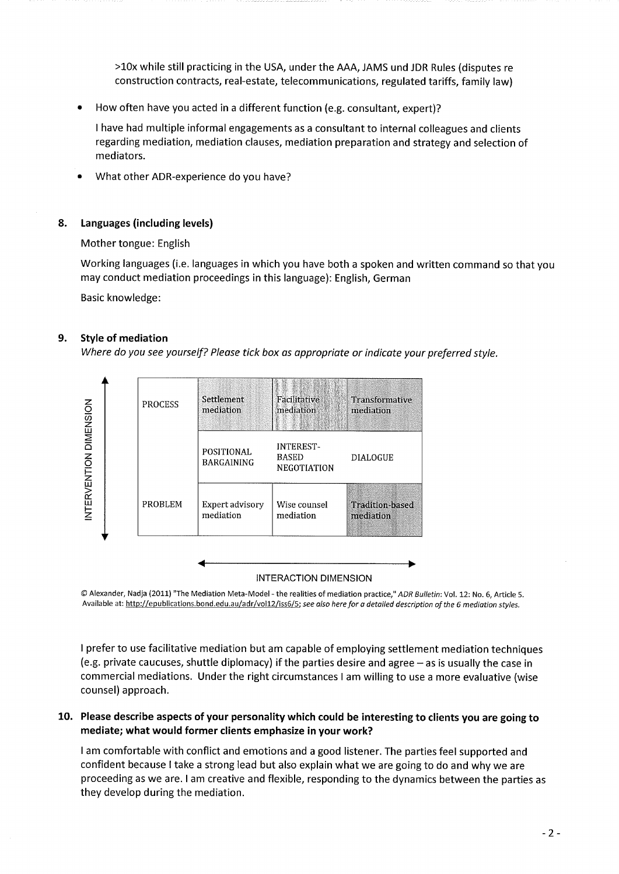>10x while still practicing in the USA, under the AAA, JAMS und JDR Rules (disputes re construction contracts, real-estate, telecommunications, regulated tariffs, family law)

• How often have you acted in a different function (e.g. Consultant, expert)?

I have had multiple informal engagements as a Consultant to internal colleagues and clients regarding mediation, mediation clauses, mediation preparation and strategy and selection of mediators.

• What other ADR-experience do you have?

# **8. Languages (including levels)**

Mother tongue: English

Working languages (i.e. languages in which you have both a spoken and written command so that you may conduct mediation proceedings in this language): English, German

Basic knowledge:

# **9. Style of mediation**

*Where do you see yourself? Pleuse tick box as appropriate or indicate your preferred style.* 



#### INTERACTION DIMENSION

© Alexander, Nadja (2011) "The Mediation Meta-Model - the realities of mediation practice," *ADR Bulletin:* Vol. 12: No. 6, Article 5. Available at: http://epublications.bond.edu.aU/adr/voll2/iss6/5: *see also here for a detalied description ofthe 6 mediation styles.* 

I prefer to use facilitative mediation but am capable of employing settlement mediation techniques (e.g. private caucuses, shuttle diplomacy) if the parties desire and agree  $-$  as is usually the case in commercial mediations. Under the right circumstances I am Willing to use a more evaluative (wise counsel) approach.

# **10. Please describe aspects of your personaiity which could be interesting to clients you are going to mediate; what would former clients emphasize in your work?**

I am comfortable with conflict and emotions and a good listener. The parties feel supported and confident because I take a strong lead but also explain what we are going to do and why we are proceeding as we are. **I** am creative and flexible, responding to the dynamics between the parties as they develop during the mediation.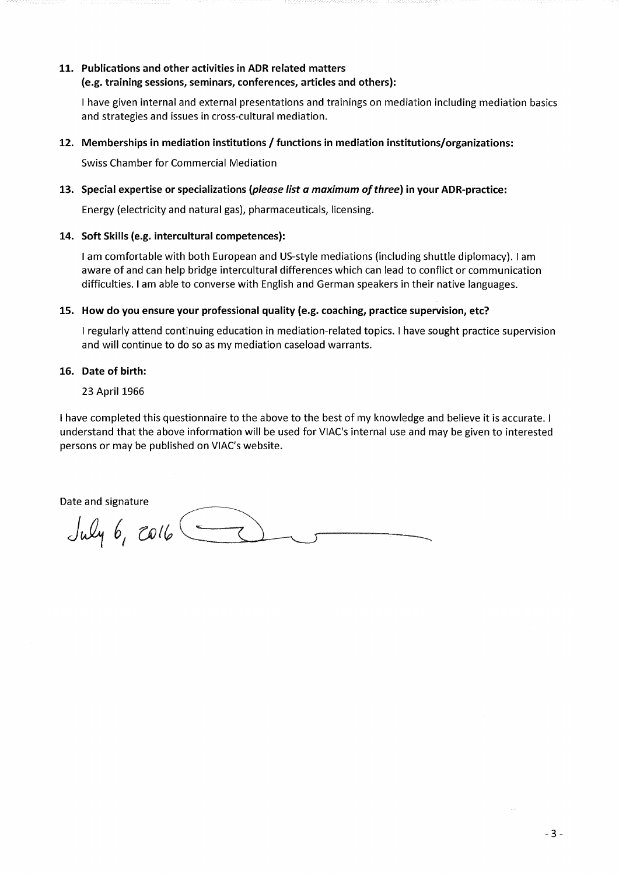#### **11. Publications and other activities in ADR related matters (e.g. training sesslons, semlnars, Conferences, articles and others):**

I have given internal and externa! presentations and trainings on mediation including mediation basics and strategies and issues in cross-cuiturai mediation.

# **12. Memberships in mediation institutions / functions in mediation institutions/organizations:**

Swiss Chamber for Commerciai Mediation

# **13. Special expertise or specializations** *{please list a maximum ofthree)* **in your ADR-practice:**

Energy (eiectricity and natural gas), pharmaceuticals, licensing.

# **14. Soft Skills (e.g. intercultural competences):**

**I** am comfortable with both European and US-style mediations (including Shuttle diplomacy). I am aware of and can help bridge intercultural differences which can lead to conflict or communication difficulties. **I** am able to converse with English and German Speakers in their native languages.

# **15. How do you ensure your professional quality (e.g. Coaching, practica supervision, etc?**

I regularly attend continuing education in mediation-related topics. I have sought practice supervision and will continue to do so as my mediation caseload Warrants.

# **16. Date of birth:**

23 April 1966

1 have completed this questionnaire to the above to the best of my knowledge and believe it is accurate. I understand that the above information will be used for VIAC's internal use and may be given to interested persons or may be published on VIAC's Website.

Date and signature

July 6, colle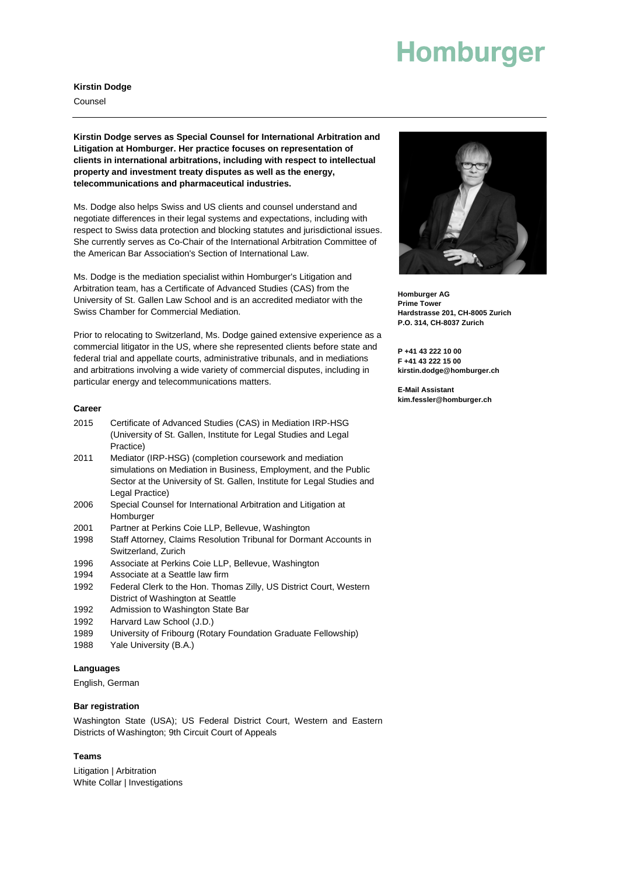# **Homburger**

#### **Kirstin Dodge**

Counsel

**Kirstin Dodge serves as Special Counsel for International Arbitration and Litigation at Homburger. Her practice focuses on representation of clients in international arbitrations, including with respect to intellectual property and investment treaty disputes as well as the energy, telecommunications and pharmaceutical industries.**

Ms. Dodge also helps Swiss and US clients and counsel understand and negotiate differences in their legal systems and expectations, including with respect to Swiss data protection and blocking statutes and jurisdictional issues. She currently serves as Co-Chair of the International Arbitration Committee of the American Bar Association's Section of International Law.

Ms. Dodge is the mediation specialist within Homburger's Litigation and Arbitration team, has a Certificate of Advanced Studies (CAS) from the University of St. Gallen Law School and is an accredited mediator with the Swiss Chamber for Commercial Mediation.

Prior to relocating to Switzerland, Ms. Dodge gained extensive experience as a commercial litigator in the US, where she represented clients before state and federal trial and appellate courts, administrative tribunals, and in mediations and arbitrations involving a wide variety of commercial disputes, including in particular energy and telecommunications matters.

#### **Career**

- 2015 Certificate of Advanced Studies (CAS) in Mediation IRP-HSG (University of St. Gallen, Institute for Legal Studies and Legal Practice)
- 2011 Mediator (IRP-HSG) (completion coursework and mediation simulations on Mediation in Business, Employment, and the Public Sector at the University of St. Gallen, Institute for Legal Studies and Legal Practice)
- 2006 Special Counsel for International Arbitration and Litigation at Homburger
- 2001 Partner at Perkins Coie LLP, Bellevue, Washington
- 1998 Staff Attorney, Claims Resolution Tribunal for Dormant Accounts in Switzerland, Zurich
- 1996 Associate at Perkins Coie LLP, Bellevue, Washington
- 1994 Associate at a Seattle law firm
- 1992 Federal Clerk to the Hon. Thomas Zilly, US District Court, Western District of Washington at Seattle
- 1992 Admission to Washington State Bar
- 1992 Harvard Law School (J.D.)
- 1989 University of Fribourg (Rotary Foundation Graduate Fellowship)
- 1988 Yale University (B.A.)

#### **Languages**

English, German

#### **Bar registration**

Washington State (USA); US Federal District Court, Western and Eastern Districts of Washington; 9th Circuit Court of Appeals

#### **Teams**

Litigation | Arbitration White Collar | Investigations



**Homburger AG Prime Tower Hardstrasse 201, CH-8005 Zurich P.O. 314, CH-8037 Zurich**

**P +41 43 222 10 00 F +41 43 222 15 00 kirstin.dodge@homburger.ch**

**E-Mail Assistant kim.fessler@homburger.ch**